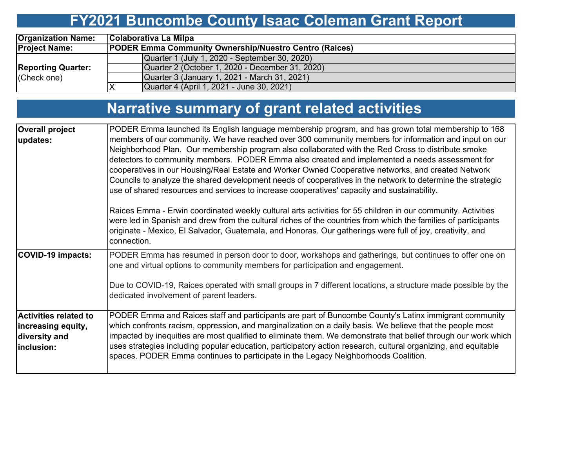# **FY2021 Buncombe County Isaac Coleman Grant Report**

| <b>Organization Name:</b> | Colaborativa La Milpa                                         |  |  |  |  |  |  |  |
|---------------------------|---------------------------------------------------------------|--|--|--|--|--|--|--|
| <b>Project Name:</b>      | <b>PODER Emma Community Ownership/Nuestro Centro (Raices)</b> |  |  |  |  |  |  |  |
|                           | Quarter 1 (July 1, 2020 - September 30, 2020)                 |  |  |  |  |  |  |  |
| <b>Reporting Quarter:</b> | Quarter 2 (October 1, 2020 - December 31, 2020)               |  |  |  |  |  |  |  |
| (Check one)               | Quarter 3 (January 1, 2021 - March 31, 2021)                  |  |  |  |  |  |  |  |
|                           | Quarter 4 (April 1, 2021 - June 30, 2021)                     |  |  |  |  |  |  |  |

| Narrative summary of grant related activities |  |  |
|-----------------------------------------------|--|--|
|                                               |  |  |

| <b>Overall project</b><br>updates:                                                | PODER Emma launched its English language membership program, and has grown total membership to 168<br>members of our community. We have reached over 300 community members for information and input on our<br>Neighborhood Plan. Our membership program also collaborated with the Red Cross to distribute smoke<br>detectors to community members. PODER Emma also created and implemented a needs assessment for<br>cooperatives in our Housing/Real Estate and Worker Owned Cooperative networks, and created Network<br>Councils to analyze the shared development needs of cooperatives in the network to determine the strategic<br>use of shared resources and services to increase cooperatives' capacity and sustainability. |
|-----------------------------------------------------------------------------------|----------------------------------------------------------------------------------------------------------------------------------------------------------------------------------------------------------------------------------------------------------------------------------------------------------------------------------------------------------------------------------------------------------------------------------------------------------------------------------------------------------------------------------------------------------------------------------------------------------------------------------------------------------------------------------------------------------------------------------------|
|                                                                                   | Raices Emma - Erwin coordinated weekly cultural arts activities for 55 children in our community. Activities<br>were led in Spanish and drew from the cultural riches of the countries from which the families of participants<br>originate - Mexico, El Salvador, Guatemala, and Honoras. Our gatherings were full of joy, creativity, and<br>connection.                                                                                                                                                                                                                                                                                                                                                                             |
| COVID-19 impacts:                                                                 | PODER Emma has resumed in person door to door, workshops and gatherings, but continues to offer one on<br>one and virtual options to community members for participation and engagement.<br>Due to COVID-19, Raices operated with small groups in 7 different locations, a structure made possible by the<br>dedicated involvement of parent leaders.                                                                                                                                                                                                                                                                                                                                                                                  |
| <b>Activities related to</b><br>increasing equity,<br>diversity and<br>inclusion: | PODER Emma and Raices staff and participants are part of Buncombe County's Latinx immigrant community<br>which confronts racism, oppression, and marginalization on a daily basis. We believe that the people most<br>impacted by inequities are most qualified to eliminate them. We demonstrate that belief through our work which<br>uses strategies including popular education, participatory action research, cultural organizing, and equitable<br>spaces. PODER Emma continues to participate in the Legacy Neighborhoods Coalition.                                                                                                                                                                                           |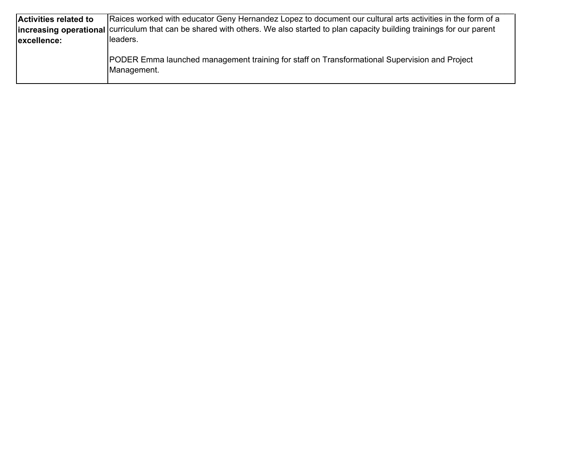| <b>Activities related to</b> | [Raices worked with educator Geny Hernandez Lopez to document our cultural arts activities in the form of a                          |
|------------------------------|--------------------------------------------------------------------------------------------------------------------------------------|
|                              | Increasing operational curriculum that can be shared with others. We also started to plan capacity building trainings for our parent |
| excellence:                  | Ileaders.                                                                                                                            |
|                              | <b>PODER Emma launched management training for staff on Transformational Supervision and Project</b><br>Management.                  |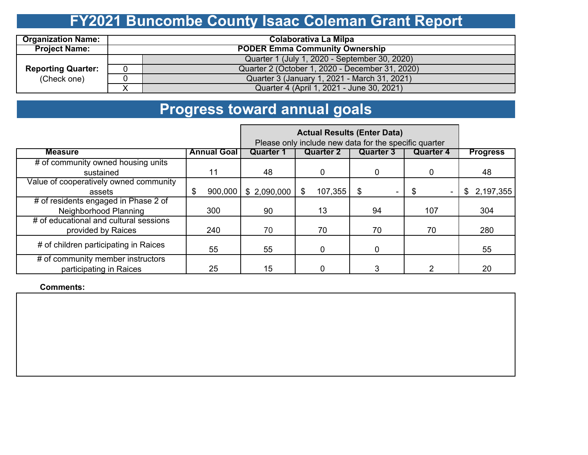# **FY2021 Buncombe County Isaac Coleman Grant Report**

| <b>Organization Name:</b> | Colaborativa La Milpa                 |                                                 |  |  |  |  |  |  |
|---------------------------|---------------------------------------|-------------------------------------------------|--|--|--|--|--|--|
| <b>Project Name:</b>      | <b>PODER Emma Community Ownership</b> |                                                 |  |  |  |  |  |  |
|                           |                                       | Quarter 1 (July 1, 2020 - September 30, 2020)   |  |  |  |  |  |  |
| <b>Reporting Quarter:</b> | 0                                     | Quarter 2 (October 1, 2020 - December 31, 2020) |  |  |  |  |  |  |
| (Check one)               |                                       | Quarter 3 (January 1, 2021 - March 31, 2021)    |  |  |  |  |  |  |
|                           |                                       | Quarter 4 (April 1, 2021 - June 30, 2021)       |  |  |  |  |  |  |

# **Progress toward annual goals**

|                                                              | Please only include new data for the specific quarter |                  |                  |                  |                  |                 |  |
|--------------------------------------------------------------|-------------------------------------------------------|------------------|------------------|------------------|------------------|-----------------|--|
| <b>Measure</b>                                               | <b>Annual Goal</b>                                    | <b>Quarter 1</b> | <b>Quarter 2</b> | <b>Quarter 3</b> | <b>Quarter 4</b> | <b>Progress</b> |  |
| # of community owned housing units                           |                                                       |                  |                  |                  |                  |                 |  |
| sustained                                                    | 11                                                    | 48               |                  | 0                | 0                | 48              |  |
| Value of cooperatively owned community                       |                                                       |                  |                  |                  |                  |                 |  |
| assets                                                       | 900,000<br>\$                                         | \$2,090,000      | 107,355<br>\$.   | \$               |                  | 2,197,355<br>\$ |  |
| # of residents engaged in Phase 2 of                         |                                                       |                  |                  |                  |                  |                 |  |
| Neighborhood Planning                                        | 300                                                   | 90               | 13               | 94               | 107              | 304             |  |
| # of educational and cultural sessions                       |                                                       |                  |                  |                  |                  |                 |  |
| provided by Raices                                           | 240                                                   | 70               | 70               | 70               | 70               | 280             |  |
| # of children participating in Raices                        | 55                                                    | 55               |                  | 0                |                  | 55              |  |
| # of community member instructors<br>participating in Raices | 25                                                    | 15               |                  | 3                |                  | 20              |  |

**Comments:**